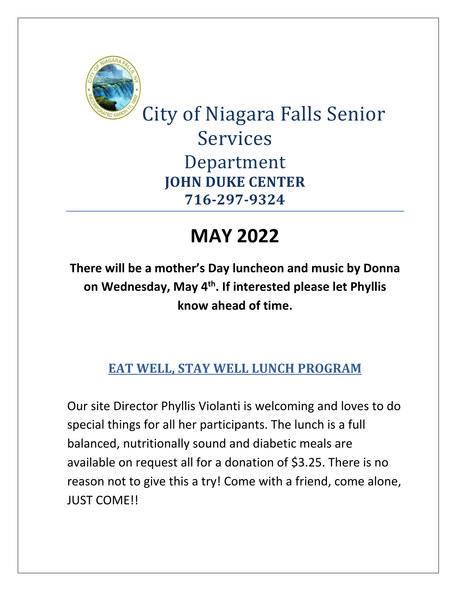

City of Niagara Falls Senior Services Department **JOHN DUKE CENTER 716-297-9324**

# **MAY 2022**

**There will be a mother's Day luncheon and music by Donna on Wednesday, May 4th. If interested please let Phyllis know ahead of time.**

## **EAT WELL, STAY WELL LUNCH PROGRAM**

Our site Director Phyllis Violanti is welcoming and loves to do special things for all her participants. The lunch is a full balanced, nutritionally sound and diabetic meals are available on request all for a donation of \$3.25. There is no reason not to give this a try! Come with a friend, come alone, JUST COME!!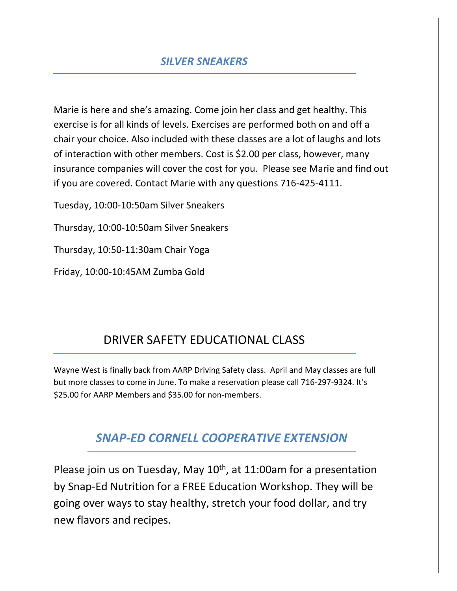#### *SILVER SNEAKERS*

Marie is here and she's amazing. Come join her class and get healthy. This exercise is for all kinds of levels. Exercises are performed both on and off a chair your choice. Also included with these classes are a lot of laughs and lots of interaction with other members. Cost is \$2.00 per class, however, many insurance companies will cover the cost for you. Please see Marie and find out if you are covered. Contact Marie with any questions 716-425-4111.

Tuesday, 10:00-10:50am Silver Sneakers

Thursday, 10:00-10:50am Silver Sneakers

Thursday, 10:50-11:30am Chair Yoga

Friday, 10:00-10:45AM Zumba Gold

#### DRIVER SAFETY EDUCATIONAL CLASS

Wayne West is finally back from AARP Driving Safety class. April and May classes are full but more classes to come in June. To make a reservation please call 716-297-9324. It's \$25.00 for AARP Members and \$35.00 for non-members.

#### *SNAP-ED CORNELL COOPERATIVE EXTENSION*

Please join us on Tuesday, May  $10<sup>th</sup>$ , at 11:00am for a presentation by Snap-Ed Nutrition for a FREE Education Workshop. They will be going over ways to stay healthy, stretch your food dollar, and try new flavors and recipes.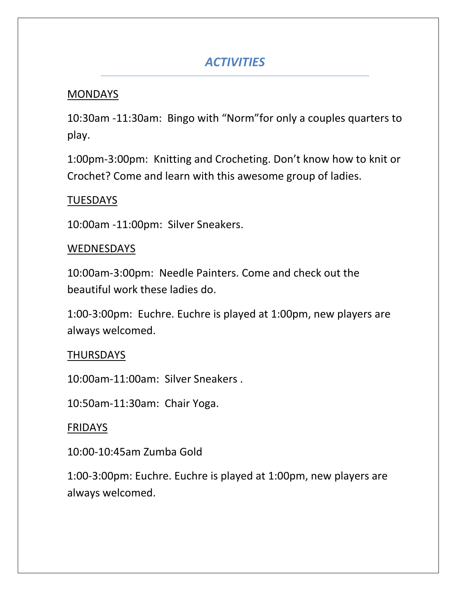### *ACTIVITIES*

#### MONDAYS

10:30am -11:30am: Bingo with "Norm"for only a couples quarters to play.

1:00pm-3:00pm: Knitting and Crocheting. Don't know how to knit or Crochet? Come and learn with this awesome group of ladies.

#### TUESDAYS

10:00am -11:00pm: Silver Sneakers.

#### **WEDNESDAYS**

10:00am-3:00pm: Needle Painters. Come and check out the beautiful work these ladies do.

1:00-3:00pm: Euchre. Euchre is played at 1:00pm, new players are always welcomed.

#### THURSDAYS

10:00am-11:00am: Silver Sneakers .

10:50am-11:30am: Chair Yoga.

#### FRIDAYS

10:00-10:45am Zumba Gold

1:00-3:00pm: Euchre. Euchre is played at 1:00pm, new players are always welcomed.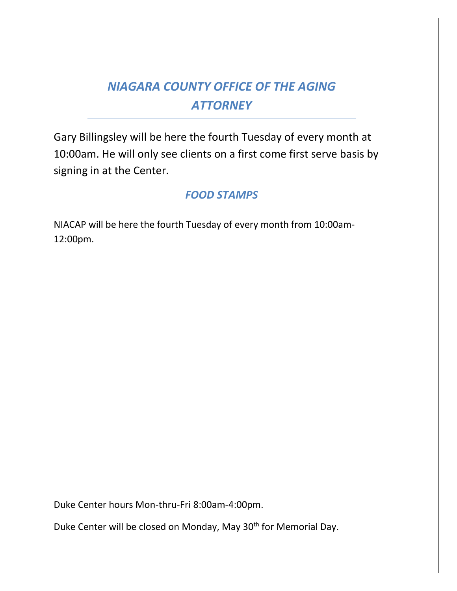# *NIAGARA COUNTY OFFICE OF THE AGING ATTORNEY*

Gary Billingsley will be here the fourth Tuesday of every month at 10:00am. He will only see clients on a first come first serve basis by signing in at the Center.

#### *FOOD STAMPS*

NIACAP will be here the fourth Tuesday of every month from 10:00am-12:00pm.

Duke Center hours Mon-thru-Fri 8:00am-4:00pm.

Duke Center will be closed on Monday, May 30<sup>th</sup> for Memorial Day.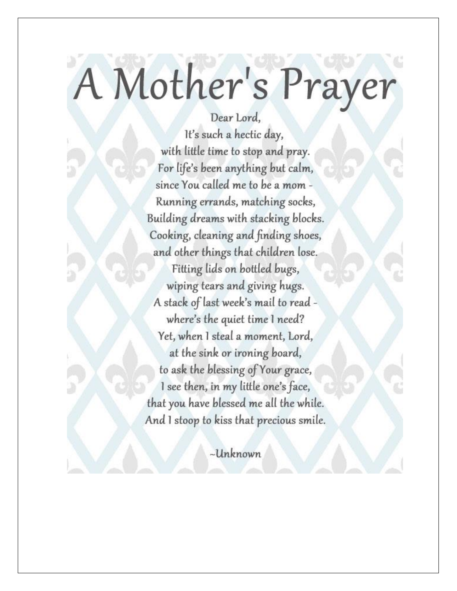# A Mother's Prayer

Dear Lord. It's such a hectic day, with little time to stop and pray. For life's been anything but calm, since You called me to be a mom -Running errands, matching socks, Building dreams with stacking blocks. Cooking, cleaning and finding shoes, and other things that children lose. Fitting lids on bottled bugs, wiping tears and giving hugs. A stack of last week's mail to read where's the quiet time I need? Yet, when I steal a moment, Lord, at the sink or ironing board, to ask the blessing of Your grace, I see then, in my little one's face, that you have blessed me all the while. And I stoop to kiss that precious smile.

-Unknown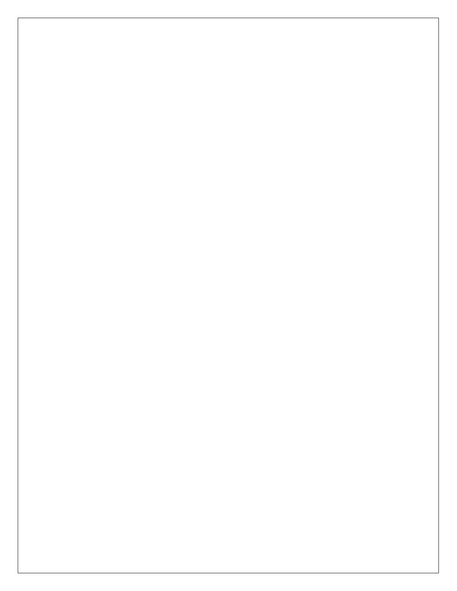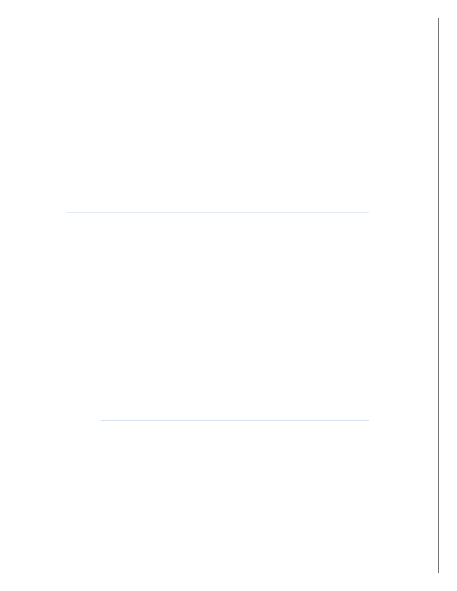